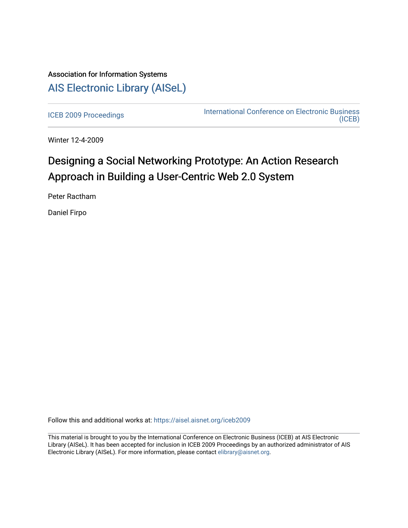## Association for Information Systems [AIS Electronic Library \(AISeL\)](https://aisel.aisnet.org/)

[ICEB 2009 Proceedings](https://aisel.aisnet.org/iceb2009) **International Conference on Electronic Business** [\(ICEB\)](https://aisel.aisnet.org/iceb) 

Winter 12-4-2009

# Designing a Social Networking Prototype: An Action Research Approach in Building a User-Centric Web 2.0 System

Peter Ractham

Daniel Firpo

Follow this and additional works at: [https://aisel.aisnet.org/iceb2009](https://aisel.aisnet.org/iceb2009?utm_source=aisel.aisnet.org%2Ficeb2009%2F52&utm_medium=PDF&utm_campaign=PDFCoverPages)

This material is brought to you by the International Conference on Electronic Business (ICEB) at AIS Electronic Library (AISeL). It has been accepted for inclusion in ICEB 2009 Proceedings by an authorized administrator of AIS Electronic Library (AISeL). For more information, please contact [elibrary@aisnet.org.](mailto:elibrary@aisnet.org%3E)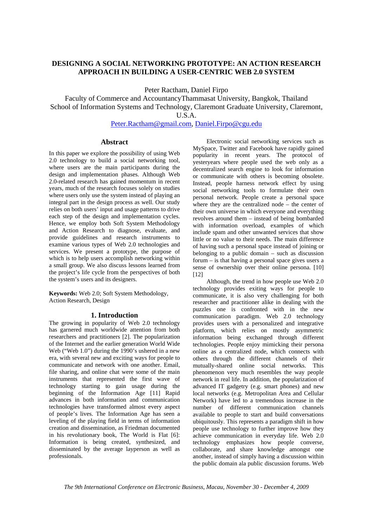## **DESIGNING A SOCIAL NETWORKING PROTOTYPE: AN ACTION RESEARCH APPROACH IN BUILDING A USER-CENTRIC WEB 2.0 SYSTEM**

Peter Ractham, Daniel Firpo

Faculty of Commerce and AccountancyThammasat University, Bangkok, Thailand School of Information Systems and Technology, Claremont Graduate University, Claremont, U.S.A.

Peter.Ractham@gmail.com, Daniel.Firpo@cgu.edu

## **Abstract**

In this paper we explore the possibility of using Web 2.0 technology to build a social networking tool, where users are the main participants during the design and implementation phases. Although Web 2.0-related research has gained momentum in recent years, much of the research focuses solely on studies where users only use the system instead of playing an integral part in the design process as well. Our study relies on both users' input and usage patterns to drive each step of the design and implementation cycles. Hence, we employ both Soft System Methodology and Action Research to diagnose, evaluate, and provide guidelines and research instruments to examine various types of Web 2.0 technologies and services. We present a prototype, the purpose of which is to help users accomplish networking within a small group. We also discuss lessons learned from the project's life cycle from the perspectives of both the system's users and its designers.

**Keywords:** Web 2.0; Soft System Methodology, Action Research, Design

## **1. Introduction**

The growing in popularity of Web 2.0 technology has garnered much worldwide attention from both researchers and practitioners [2]. The popularization of the Internet and the earlier generation World Wide Web ("Web 1.0") during the 1990's ushered in a new era, with several new and exciting ways for people to communicate and network with one another. Email, file sharing, and online chat were some of the main instruments that represented the first wave of technology starting to gain usage during the beginning of the Information Age [11] Rapid advances in both information and communication technologies have transformed almost every aspect of people's lives. The Information Age has seen a leveling of the playing field in terms of information creation and dissemination, as Friedman documented in his revolutionary book, The World is Flat [6]: Information is being created, synthesized, and disseminated by the average layperson as well as professionals.

Electronic social networking services such as MySpace, Twitter and Facebook have rapidly gained popularity in recent years. The protocol of yesteryears where people used the web only as a decentralized search engine to look for information or communicate with others is becoming obsolete. Instead, people harness network effect by using social networking tools to formulate their own personal network. People create a personal space where they are the centralized node – the center of their own universe in which everyone and everything revolves around them – instead of being bombarded with information overload, examples of which include spam and other unwanted services that show little or no value to their needs. The main difference of having such a personal space instead of joining or belonging to a public domain – such as discussion forum – is that having a personal space gives users a sense of ownership over their online persona. [10] [12]

Although, the trend in how people use Web 2.0 technology provides exiting ways for people to communicate, it is also very challenging for both researcher and practitioner alike in dealing with the puzzles one is confronted with in the new communication paradigm. Web 2.0 technology provides users with a personalized and integrative platform, which relies on mostly asymmetric information being exchanged through different technologies. People enjoy mimicking their persona online as a centralized node, which connects with others through the different channels of their mutually-shared online social networks. This phenomenon very much resembles the way people network in real life. In addition, the popularization of advanced IT gadgetry (e.g. smart phones) and new local networks (e.g. Metropolitan Area and Cellular Network) have led to a tremendous increase in the number of different communication channels available to people to start and build conversations ubiquitously. This represents a paradigm shift in how people use technology to further improve how they achieve communication in everyday life. Web 2.0 technology emphasizes how people converse, collaborate, and share knowledge amongst one another, instead of simply having a discussion within the public domain ala public discussion forums. Web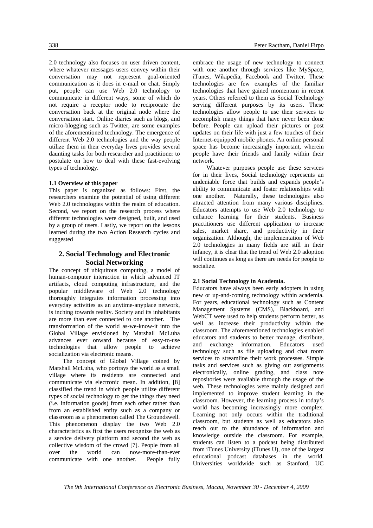2.0 technology also focuses on user driven content, where whatever messages users convey within their conversation may not represent goal-oriented communication as it does in e-mail or chat. Simply put, people can use Web 2.0 technology to communicate in different ways, some of which do not require a receptor node to reciprocate the conversation back at the original node where the conversation start. Online diaries such as blogs, and micro-blogging such as Twitter, are some examples of the aforementioned technology. The emergence of different Web 2.0 technologies and the way people utilize them in their everyday lives provides several daunting tasks for both researcher and practitioner to postulate on how to deal with these fast-evolving types of technology.

#### **1.1 Overview of this paper**

This paper is organized as follows: First, the researchers examine the potential of using different Web 2.0 technologies within the realm of education. Second, we report on the research process where different technologies were designed, built, and used by a group of users. Lastly, we report on the lessons learned during the two Action Research cycles and suggested

## **2. Social Technology and Electronic Social Networking**

The concept of ubiquitous computing, a model of human-computer interaction in which advanced IT artifacts, cloud computing infrastructure, and the popular middleware of Web 2.0 technology thoroughly integrates information processing into everyday activities as an anytime-anyplace network, is inching towards reality. Society and its inhabitants are more than ever connected to one another. The transformation of the world as-we-know-it into the Global Village envisioned by Marshall McLuha advances ever onward because of easy-to-use technologies that allow people to achieve socialization via electronic means.

The concept of Global Village coined by Marshall McLuha, who portrays the world as a small village where its residents are connected and communicate via electronic mean. In addition, [8] classified the trend in which people utilize different types of social technology to get the things they need (i.e. information goods) from each other rather than from an established entity such as a company or classroom as a phenomenon called The Groundswell. This phenomenon display the two Web 2.0 characteristics as first the users recognize the web as a service delivery platform and second the web as collective wisdom of the crowd [7]. People from all over the world can now-more-than-ever communicate with one another. People fully

embrace the usage of new technology to connect with one another through services like MySpace, iTunes, Wikipedia, Facebook and Twitter. These technologies are few examples of the familiar technologies that have gained momentum in recent years. Others referred to them as Social Technology serving different purposes by its users. These technologies allow people to use their services to accomplish many things that have never been done before. People can upload their pictures or post updates on their life with just a few touches of their Internet-equipped mobile phones. An online personal space has become increasingly important, wherein people have their friends and family within their network.

Whatever purposes people use these services for in their lives, Social technology represents an undeniable force that builds and expands people's ability to communicate and foster relationships with one another. Naturally, these technologies also attracted attention from many various disciplines. Educators attempts to use Web 2.0 technology to enhance learning for their students. Business practitioners use different application to increase sales, market share, and productivity in their organization. Although, the implementation of Web 2.0 technologies in many fields are still in their infancy, it is clear that the trend of Web 2.0 adoption will continues as long as there are needs for people to socialize.

## **2.1 Social Technology in Academia.**

Educators have always been early adopters in using new or up-and-coming technology within academia. For years, educational technology such as Content Management Systems (CMS), Blackboard, and WebCT were used to help students perform better, as well as increase their productivity within the classroom. The aforementioned technologies enabled educators and students to better manage, distribute, and exchange information. Educators used technology such as file uploading and chat room services to streamline their work processes. Simple tasks and services such as giving out assignments electronically, online grading, and class note repositories were available through the usage of the web. These technologies were mainly designed and implemented to improve student learning in the classroom. However, the learning process in today's world has becoming increasingly more complex. Learning not only occurs within the traditional classroom, but students as well as educators also reach out to the abundance of information and knowledge outside the classroom. For example, students can listen to a podcast being distributed from iTunes University (iTunes U), one of the largest educational podcast databases in the world. Universities worldwide such as Stanford, UC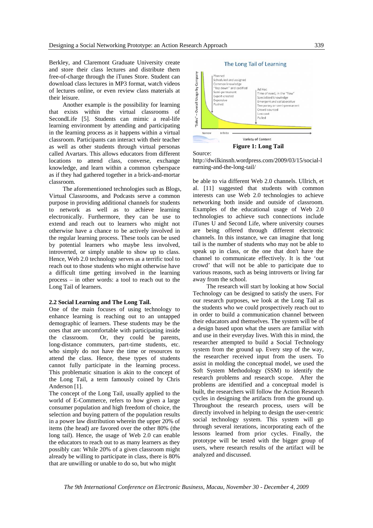Berkley, and Claremont Graduate University create and store their class lectures and distribute them free-of-charge through the iTunes Store. Student can download class lectures in MP3 format, watch videos of lectures online, or even review class materials at their leisure.

Another example is the possibility for learning that exists within the virtual classrooms of SecondLife [5]. Students can mimic a real-life learning environment by attending and participating in the learning process as it happens within a virtual classroom. Participants can interact with their teacher as well as other students through virtual personas called Avartars. This allows educators from different locations to attend class, converse, exchange knowledge, and learn within a common cyberspace as if they had gathered together in a brick-and-mortar classroom.

The aforementioned technologies such as Blogs, Virtual Classrooms, and Podcasts serve a common purpose in providing additional channels for students to network as well as to achieve learning electronically. Furthermore, they can be use to extend and reach out to learners who might not otherwise have a chance to be actively involved in the regular learning process. These tools can be used by potential learners who maybe less involved, introverted, or simply unable to show up to class. Hence, Web 2.0 technology serves as a terrific tool to reach out to those students who might otherwise have a difficult time getting involved in the learning process – in other words: a tool to reach out to the Long Tail of learners.

#### **2.2 Social Learning and The Long Tail.**

One of the main focuses of using technology to enhance learning is reaching out to an untapped demographic of learners. These students may be the ones that are uncomfortable with participating inside the classroom. Or, they could be parents, long-distance commuters, part-time students, etc. who simply do not have the time or resources to attend the class. Hence, these types of students cannot fully participate in the learning process. This problematic situation is akin to the concept of the Long Tail, a term famously coined by Chris Anderson [1].

The concept of the Long Tail, usually applied to the world of E-Commerce, refers to how given a large consumer population and high freedom of choice, the selection and buying pattern of the population results in a power law distribution wherein the upper 20% of items (the head) are favored over the other 80% (the long tail). Hence, the usage of Web 2.0 can enable the educators to reach out to as many learners as they possibly can: While 20% of a given classroom might already be willing to participate in class, there is 80% that are unwilling or unable to do so, but who might

#### The Long Tail of Learning Overall Usage by Company Planned scheduled and assigned Common knowledg Top down" and codified Ad Hoc Semi-permanent איי טרי.<br>Time of need, in the "flow" Expert-created Specialized knowledge Expensi<br>Pushed Emergent and collaborative Temporary or semi-permanent<br>Crowd-sourced Low cost Pulled Narroy Infinite Variety of Content

**Figure 1: Long Tail** 

Source:



be able to via different Web 2.0 channels. Ullrich, et al. [11] suggested that students with common interests can use Web 2.0 technologies to achieve networking both inside and outside of classroom. Examples of the educational usage of Web 2.0 technologies to achieve such connections include iTunes U and Second Life, where university courses are being offered through different electronic channels. In this instance, we can imagine that long tail is the number of students who may not be able to speak up in class, or the one that don't have the channel to communicate effectively. It is the 'out crowd' that will not be able to participate due to various reasons, such as being introverts or living far away from the school.

The research will start by looking at how Social Technology can be designed to satisfy the users. For our research purposes, we look at the Long Tail as the students who we could prospectively reach out to in order to build a communication channel between their educators and themselves. The system will be of a design based upon what the users are familiar with and use in their everyday lives. With this in mind, the researcher attempted to build a Social Technology system from the ground up. Every step of the way, the researcher received input from the users. To assist in molding the conceptual model, we used the Soft System Methodology (SSM) to identify the research problems and research scope. After the problems are identified and a conceptual model is built, the researchers will follow the Action Research cycles in designing the artifacts from the ground up. Throughout the research process, users will be directly involved in helping to design the user-centric social technology system. This system will go through several iterations, incorporating each of the lessons learned from prior cycles. Finally, the prototype will be tested with the bigger group of users, where research results of the artifact will be analyzed and discussed.

*The 9th International Conference on Electronic Business, Macau, November 30 - December 4, 2009*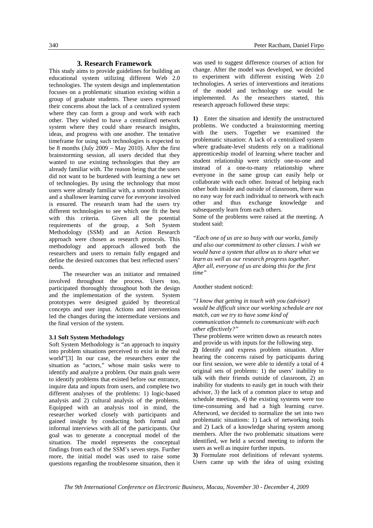## **3. Research Framework**

This study aims to provide guidelines for building an educational system utilizing different Web 2.0 technologies. The system design and implementation focuses on a problematic situation existing within a group of graduate students. These users expressed their concerns about the lack of a centralized system where they can form a group and work with each other. They wished to have a centralized network system where they could share research insights, ideas, and progress with one another. The tentative timeframe for using such technologies is expected to be 8 months (July 2009 – May 2010). After the first brainstorming session, all users decided that they wanted to use existing technologies that they are already familiar with. The reason being that the users did not want to be burdened with learning a new set of technologies. By using the technology that most users were already familiar with, a smooth transition and a shallower learning curve for everyone involved is ensured. The research team had the users try different technologies to see which one fit the best with this criteria. Given all the potential requirements of the group, a Soft System Methodology (SSM) and an Action Research approach were chosen as research protocols. This methodology and approach allowed both the researchers and users to remain fully engaged and define the desired outcomes that best reflected users' needs.

The researcher was an initiator and remained involved throughout the process. Users too, participated thoroughly throughout both the design and the implementation of the system. System prototypes were designed guided by theoretical concepts and user input. Actions and interventions led the changes during the intermediate versions and the final version of the system.

#### **3.1 Soft System Methodology**

Soft System Methodology is "an approach to inquiry into problem situations perceived to exist in the real world"[3] In our case, the researchers enter the situation as "actors," whose main tasks were to identify and analyze a problem. Our main goals were to identify problems that existed before our entrance, inquire data and inputs from users, and complete two different analyses of the problems: 1) logic-based analysis and 2) cultural analysis of the problems. Equipped with an analysis tool in mind, the researcher worked closely with participants and gained insight by conducting both formal and informal interviews with all of the participants. Our goal was to generate a conceptual model of the situation. The model represents the conceptual findings from each of the SSM's seven steps. Further more, the initial model was used to raise some questions regarding the troublesome situation, then it was used to suggest difference courses of action for change. After the model was developed, we decided to experiment with different existing Web 2.0 technologies. A series of interventions and iterations of the model and technology use would be implemented. As the researchers started, this research approach followed these steps:

**1)** Enter the situation and identify the unstructured problems. We conducted a brainstorming meeting with the users. Together we examined the problematic situation: A lack of a centralized system where graduate-level students rely on a traditional apprenticeship model of learning where teacher and student relationship were strictly one-to-one and instead of a one-to-many relationship where everyone in the same group can easily help or collaborate with each other. Instead of helping each other both inside and outside of classroom, there was no easy way for each individual to network with each other and thus exchange knowledge and subsequently learn from each others.

Some of the problems were raised at the meeting. A student said:

*"Each one of us are so busy with our works, family and also our commitment to other classes. I wish we would have a system that allow us to share what we learn as well as our research progress together. After all, everyone of us are doing this for the first time"* 

#### Another student noticed:

*"I know that getting in touch with you (advisor) would be difficult since our working schedule are not match, can we try to have some kind of communication channels to communicate with each other effectively?"* 

These problems were written down as research notes and provide us with inputs for the following step.

**2)** Identify and express problem situation. After hearing the concerns raised by participants during our first session, we were able to identify a total of 4 original sets of problems: 1) the users' inability to talk with their friends outside of classroom, 2) an inability for students to easily get in touch with their advisor, 3) the lack of a common place to setup and schedule meetings, 4) the existing systems were too time-consuming and had a high learning curve. Afterword, we decided to normalize the set into two problematic situations: 1) Lack of networking tools and 2) Lack of a knowledge sharing system among members. After the two problematic situations were identified, we held a second meeting to inform the users as well as inquire further inputs.

**3)** Formulate root definitions of relevant systems. Users came up with the idea of using existing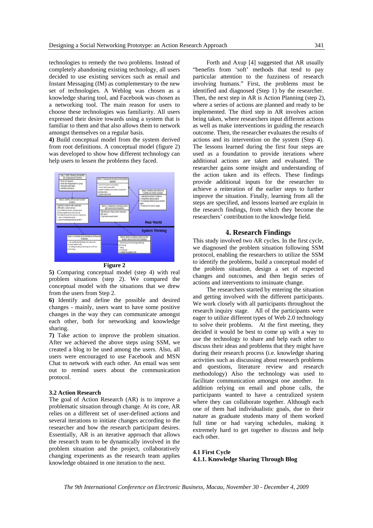technologies to remedy the two problems. Instead of completely abandoning existing technology, all users decided to use existing services such as email and Instant Messaging (IM) as complementary to the new set of technologies. A Weblog was chosen as a knowledge sharing tool, and Facebook was chosen as a networking tool. The main reason for users to choose these technologies was familiarity. All users expressed their desire towards using a system that is familiar to them and that also allows them to network amongst themselves on a regular basis.

**4)** Build conceptual model from the system derived from root definitions. A conceptual model (figure 2) was developed to show how different technology can help users to lessen the problems they faced.



**Figure 2** 

**5)** Comparing conceptual model (step 4) with real problem situations (step 2). We compared the conceptual model with the situations that we drew from the users from Step 2.

**6)** Identify and define the possible and desired changes - mainly, users want to have some positive changes in the way they can communicate amongst each other, both for networking and knowledge sharing.

**7)** Take action to improve the problem situation. After we achieved the above steps using SSM, we created a blog to be used among the users. Also, all users were encouraged to use Facebook and MSN Chat to network with each other. An email was sent out to remind users about the communication protocol.

#### **3.2 Action Research**

The goal of Action Research (AR) is to improve a problematic situation through change. At its core, AR relies on a different set of user-defined actions and several iterations to initiate changes according to the researcher and how the research participant desires. Essentially, AR is an iterative approach that allows the research team to be dynamically involved in the problem situation and the project, collaboratively changing experiments as the research team applies knowledge obtained in one iteration to the next.

Forth and Axup [4] suggested that AR usually "benefits from 'soft' methods that tend to pay particular attention to the fuzziness of research involving humans." First, the problems must be identified and diagnosed (Step 1) by the researcher. Then, the next step in AR is Action Planning (step 2), where a series of actions are planned and ready to be implemented. The third step in AR involves action being taken, where researchers input different actions as well as make interventions in guiding the research outcome. Then, the researcher evaluates the results of actions and its intervention on the system (Step 4). The lessons learned during the first four steps are used as a foundation to provide iterations where additional actions are taken and evaluated. The researcher gains some insight and understanding of the action taken and its effects. These findings provide additional inputs for the researcher to achieve a reiteration of the earlier steps to further improve the situation. Finally, learning from all the steps are specified, and lessons learned are explain in the research findings, from which they become the researchers' contribution to the knowledge field.

## **4. Research Findings**

This study involved two AR cycles. In the first cycle, we diagnosed the problem situation following SSM protocol, enabling the researchers to utilize the SSM to identify the problems, build a conceptual model of the problem situation, design a set of expected changes and outcomes, and then begin series of actions and interventions to insinuate change.

The researchers started by entering the situation and getting involved with the different participants. We work closely with all participants throughout the research inquiry stage. All of the participants were eager to utilize different types of Web 2.0 technology to solve their problems. At the first meeting, they decided it would be best to come up with a way to use the technology to share and help each other to discuss their ideas and problems that they might have during their research process (i.e. knowledge sharing activities such as discussing about research problems and questions, literature review and research methodology) Also the technology was used to facilitate communication amongst one another. In addition relying on email and phone calls, the participants wanted to have a centralized system where they can collaborate together. Although each one of them had individualistic goals, due to their nature as graduate students many of them worked full time or had varying schedules, making it extremely hard to get together to discuss and help each other.

## **4.1 First Cycle 4.1.1. Knowledge Sharing Through Blog**

*The 9th International Conference on Electronic Business, Macau, November 30 - December 4, 2009*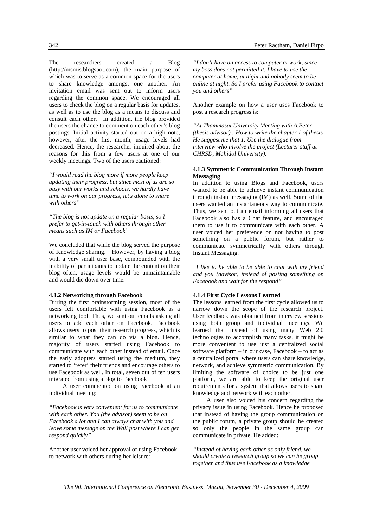342 Peter Ractham, Daniel Firpo

The researchers created a Blog (http://msmis.blogspot.com), the main purpose of which was to serve as a common space for the users to share knowledge amongst one another. An invitation email was sent out to inform users regarding the common space. We encouraged all users to check the blog on a regular basis for updates, as well as to use the blog as a means to discuss and consult each other. In addition, the blog provided the users the chance to comment on each other's blog postings. Initial activity started out on a high note, however, after the first month, usage levels had decreased. Hence, the researcher inquired about the reasons for this from a few users at one of our weekly meetings. Two of the users cautioned:

*"I would read the blog more if more people keep updating their progress, but since most of us are so busy with our works and schools, we hardly have time to work on our progress, let's alone to share with others"* 

*"The blog is not update on a regular basis, so I prefer to get-in-touch with others through other means such as IM or Facebook"* 

We concluded that while the blog served the purpose of Knowledge sharing. However, by having a blog with a very small user base, compounded with the inability of participants to update the content on their blog often, usage levels would be unmaintainable and would die down over time.

## **4.1.2 Networking through Facebook**

During the first brainstorming session, most of the users felt comfortable with using Facebook as a networking tool. Thus, we sent out emails asking all users to add each other on Facebook. Facebook allows users to post their research progress, which is similar to what they can do via a blog. Hence, majority of users started using Facebook to communicate with each other instead of email. Once the early adopters started using the medium, they started to 'refer' their friends and encourage others to use Facebook as well. In total, seven out of ten users migrated from using a blog to Facebook

A user commented on using Facebook at an individual meeting:

*"Facebook is very convenient for us to communicate with each other. You (the advisor) seem to be on Facebook a lot and I can always chat with you and leave some message on the Wall post where I can get respond quickly"* 

Another user voiced her approval of using Facebook to network with others during her leisure:

*"I don't have an access to computer at work, since my boss does not permitted it. I have to use the computer at home, at night and nobody seem to be online at night. So I prefer using Facebook to contact you and others"* 

Another example on how a user uses Facebook to post a research progress is:

*"At Thammasat University Meeting with A.Peter (thesis advisor) : How to write the chapter 1 of thesis He suggest me that 1. Use the dialogue from interview who involve the project (Lecturer staff at CHRSD, Mahidol University).*

## **4.1.3 Symmetric Communication Through Instant Messaging**

In addition to using Blogs and Facebook, users wanted to be able to achieve instant communication through instant messaging (IM) as well. Some of the users wanted an instantaneous way to communicate. Thus, we sent out an email informing all users that Facebook also has a Chat feature, and encouraged them to use it to communicate with each other. A user voiced her preference on not having to post something on a public forum, but rather to communicate symmetrically with others through Instant Messaging.

*"I like to be able to be able to chat with my friend and you (advisor) instead of posting something on Facebook and wait for the respond"* 

## **4.1.4 First Cycle Lessons Learned**

The lessons learned from the first cycle allowed us to narrow down the scope of the research project. User feedback was obtained from interview sessions using both group and individual meetings. We learned that instead of using many Web 2.0 technologies to accomplish many tasks, it might be more convenient to use just a centralized social software platform – in our case, Facebook – to act as a centralized portal where users can share knowledge, network, and achieve symmetric communication. By limiting the software of choice to be just one platform, we are able to keep the original user requirements for a system that allows users to share knowledge and network with each other.

A user also voiced his concern regarding the privacy issue in using Facebook. Hence he proposed that instead of having the group communication on the public forum, a private group should be created so only the people in the same group can communicate in private. He added:

*"Instead of having each other as only friend, we should create a research group so we can be group together and thus use Facebook as a knowledge*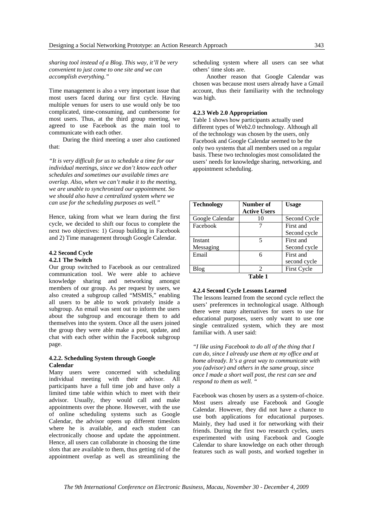*sharing tool instead of a Blog. This way, it'll be very convenient to just come to one site and we can accomplish everything."* 

Time management is also a very important issue that most users faced during our first cycle. Having multiple venues for users to use would only be too complicated, time-consuming, and cumbersome for most users. Thus, at the third group meeting, we agreed to use Facebook as the main tool to communicate with each other.

During the third meeting a user also cautioned that:

*"It is very difficult for us to schedule a time for our individual meetings, since we don't know each other schedules and sometimes our available times are overlap. Also, when we can't make it to the meeting, we are unable to synchronized our appointment. So we should also have a centralized system where we can use for the scheduling purposes as well."* 

Hence, taking from what we learn during the first cycle, we decided to shift our focus to complete the next two objectives: 1) Group building in Facebook and 2) Time management through Google Calendar.

## **4.2 Second Cycle**

#### **4.2.1 The Switch**

Our group switched to Facebook as our centralized communication tool. We were able to achieve knowledge sharing and networking amongst members of our group. As per request by users, we also created a subgroup called "MSMIS," enabling all users to be able to work privately inside a subgroup. An email was sent out to inform the users about the subgroup and encourage them to add themselves into the system. Once all the users joined the group they were able make a post, update, and chat with each other within the Facebook subgroup page.

#### **4.2.2. Scheduling System through Google Calendar**

Many users were concerned with scheduling individual meeting with their advisor. All participants have a full time job and have only a limited time table within which to meet with their advisor. Usually, they would call and make appointments over the phone. However, with the use of online scheduling systems such as Google Calendar, the advisor opens up different timeslots where he is available, and each student can electronically choose and update the appointment. Hence, all users can collaborate in choosing the time slots that are available to them, thus getting rid of the appointment overlap as well as streamlining the

scheduling system where all users can see what others' time slots are.

Another reason that Google Calendar was chosen was because most users already have a Gmail account, thus their familiarity with the technology was high.

## **4.2.3 Web 2.0 Appropriation**

Table 1 shows how participants actually used different types of Web2.0 technology. Although all of the technology was chosen by the users, only Facebook and Google Calendar seemed to be the only two systems that all members used on a regular basis. These two technologies most consolidated the users' needs for knowledge sharing, networking, and appointment scheduling.

| <b>Technology</b> | Number of           | <b>Usage</b>       |
|-------------------|---------------------|--------------------|
|                   | <b>Active Users</b> |                    |
| Google Calendar   | 10                  | Second Cycle       |
| Facebook          |                     | First and          |
|                   |                     | Second cycle       |
| Instant           | 5                   | First and          |
| Messaging         |                     | Second cycle       |
| Email             | 6                   | First and          |
|                   |                     | second cycle       |
| Blog              | 2                   | <b>First Cycle</b> |
| т.ы. 1            |                     |                    |

#### **Table 1**

## **4.2.4 Second Cycle Lessons Learned**

The lessons learned from the second cycle reflect the users' preferences in technological usage. Although there were many alternatives for users to use for educational purposes, users only want to use one single centralized system, which they are most familiar with. A user said:

*"I like using Facebook to do all of the thing that I can do, since I already use them at my office and at home already. It's a great way to communicate with you (advisor) and others in the same group, since once I made a short wall post, the rest can see and respond to them as well. "* 

Facebook was chosen by users as a system-of-choice. Most users already use Facebook and Google Calendar. However, they did not have a chance to use both applications for educational purposes. Mainly, they had used it for networking with their friends. During the first two research cycles, users experimented with using Facebook and Google Calendar to share knowledge on each other through features such as wall posts, and worked together in